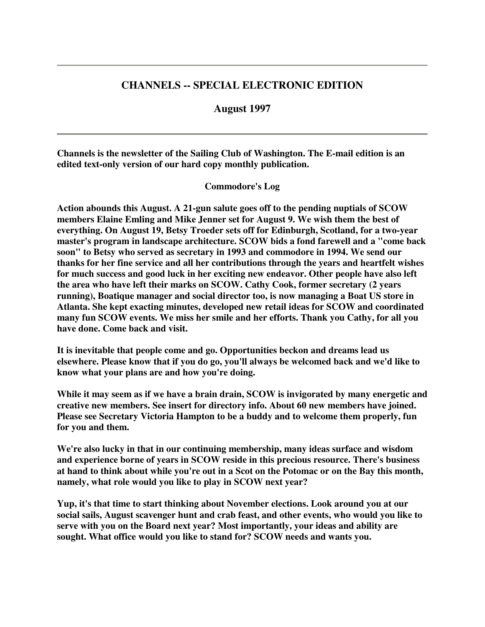# **CHANNELS -- SPECIAL ELECTRONIC EDITION**

### **August 1997**

**Channels is the newsletter of the Sailing Club of Washington. The E-mail edition is an edited text-only version of our hard copy monthly publication.**

### **Commodore's Log**

**Action abounds this August. A 21-gun salute goes off to the pending nuptials of SCOW members Elaine Emling and Mike Jenner set for August 9. We wish them the best of everything. On August 19, Betsy Troeder sets off for Edinburgh, Scotland, for a two-year master's program in landscape architecture. SCOW bids a fond farewell and a "come back soon" to Betsy who served as secretary in 1993 and commodore in 1994. We send our thanks for her fine service and all her contributions through the years and heartfelt wishes for much success and good luck in her exciting new endeavor. Other people have also left the area who have left their marks on SCOW. Cathy Cook, former secretary (2 years running), Boatique manager and social director too, is now managing a Boat US store in Atlanta. She kept exacting minutes, developed new retail ideas for SCOW and coordinated many fun SCOW events. We miss her smile and her efforts. Thank you Cathy, for all you have done. Come back and visit.**

**It is inevitable that people come and go. Opportunities beckon and dreams lead us elsewhere. Please know that if you do go, you'll always be welcomed back and we'd like to know what your plans are and how you're doing.**

**While it may seem as if we have a brain drain, SCOW is invigorated by many energetic and creative new members. See insert for directory info. About 60 new members have joined. Please see Secretary Victoria Hampton to be a buddy and to welcome them properly, fun for you and them.**

**We're also lucky in that in our continuing membership, many ideas surface and wisdom and experience borne of years in SCOW reside in this precious resource. There's business** at hand to think about while you're out in a Scot on the Potomac or on the Bay this month, **namely, what role would you like to play in SCOW next year?**

**Yup, it's that time to start thinking about November elections. Look around you at our social sails, August scavenger hunt and crab feast, and other events, who would you like to serve with you on the Board next year? Most importantly, your ideas and ability are sought. What office would you like to stand for? SCOW needs and wants you.**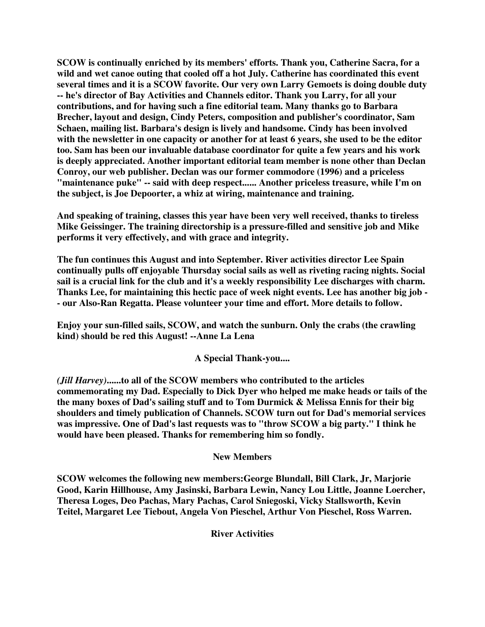**SCOW is continually enriched by its members' efforts. Thank you, Catherine Sacra, for a wild and wet canoe outing that cooled off a hot July. Catherine has coordinated this event several times and it is a SCOW favorite. Our very own Larry Gemoets is doing double duty -- he's director of Bay Activities and Channels editor. Thank you Larry, for all your contributions, and for having such a fine editorial team. Many thanks go to Barbara Brecher, layout and design, Cindy Peters, composition and publisher's coordinator, Sam Schaen, mailing list. Barbara's design is lively and handsome. Cindy has been involved** with the newsletter in one capacity or another for at least 6 years, she used to be the editor **too. Sam has been our invaluable database coordinator for quite a few years and his work is deeply appreciated. Another important editorial team member is none other than Declan Conroy, our web publisher. Declan was our former commodore (1996) and a priceless "maintenance puke" -- said with deep respect...... Another priceless treasure, while I'm on the subject, is Joe Depoorter, a whiz at wiring, maintenance and training.**

**And speaking of training, classes this year have been very well received, thanks to tireless Mike Geissinger. The training directorship is a pressure-filled and sensitive job and Mike performs it very effectively, and with grace and integrity.**

**The fun continues this August and into September. River activities director Lee Spain continually pulls off enjoyable Thursday social sails as well as riveting racing nights. Social sail is a crucial link for the club and it's a weekly responsibility Lee discharges with charm. Thanks Lee, for maintaining this hectic pace of week night events. Lee has another big job - - our Also-Ran Regatta. Please volunteer your time and effort. More details to follow.**

**Enjoy your sun-filled sails, SCOW, and watch the sunburn. Only the crabs (the crawling kind) should be red this August! --Anne La Lena**

**A Special Thank-you....**

*(Jill Harvey)***......to all of the SCOW members who contributed to the articles commemorating my Dad. Especially to Dick Dyer who helped me make heads or tails of the the many boxes of Dad's sailing stuff and to Tom Durmick & Melissa Ennis for their big shoulders and timely publication of Channels. SCOW turn out for Dad's memorial services was impressive. One of Dad's last requests was to "throw SCOW a big party." I think he would have been pleased. Thanks for remembering him so fondly.**

## **New Members**

**SCOW welcomes the following new members:George Blundall, Bill Clark, Jr, Marjorie Good, Karin Hillhouse, Amy Jasinski, Barbara Lewin, Nancy Lou Little, Joanne Loercher, Theresa Loges, Deo Pachas, Mary Pachas, Carol Sniegoski, Vicky Stallsworth, Kevin Teitel, Margaret Lee Tiebout, Angela Von Pieschel, Arthur Von Pieschel, Ross Warren.**

**River Activities**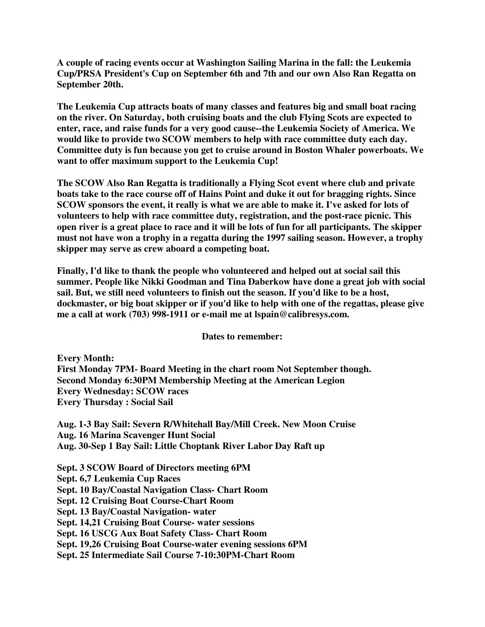**A couple of racing events occur at Washington Sailing Marina in the fall: the Leukemia Cup/PRSA President's Cup on September 6th and 7th and our own Also Ran Regatta on September 20th.**

**The Leukemia Cup attracts boats of many classes and features big and small boat racing on the river. On Saturday, both cruising boats and the club Flying Scots are expected to enter, race, and raise funds for a very good cause--the Leukemia Society of America. We would like to provide two SCOW members to help with race committee duty each day. Committee duty is fun because you get to cruise around in Boston Whaler powerboats. We want to offer maximum support to the Leukemia Cup!**

**The SCOW Also Ran Regatta is traditionally a Flying Scot event where club and private boats take to the race course off of Hains Point and duke it out for bragging rights. Since SCOW sponsors the event, it really is what we are able to make it. I've asked for lots of volunteers to help with race committee duty, registration, and the post-race picnic. This** open river is a great place to race and it will be lots of fun for all participants. The skipper **must not have won a trophy in a regatta during the 1997 sailing season. However, a trophy skipper may serve as crew aboard a competing boat.**

**Finally, I'd like to thank the people who volunteered and helped out at social sail this summer. People like Nikki Goodman and Tina Daberkow have done a great job with social sail. But, we still need volunteers to finish out the season. If you'd like to be a host, dockmaster, or big boat skipper or if you'd like to help with one of the regattas, please give me a call at work (703) 998-1911 or e-mail me at lspain@calibresys.com.**

**Dates to remember:**

**Every Month: First Monday 7PM- Board Meeting in the chart room Not September though. Second Monday 6:30PM Membership Meeting at the American Legion Every Wednesday: SCOW races Every Thursday : Social Sail**

**Aug. 1-3 Bay Sail: Severn R/Whitehall Bay/Mill Creek. New Moon Cruise Aug. 16 Marina Scavenger Hunt Social Aug. 30-Sep 1 Bay Sail: Little Choptank River Labor Day Raft up**

**Sept. 3 SCOW Board of Directors meeting 6PM Sept. 6,7 Leukemia Cup Races Sept. 10 Bay/Coastal Navigation Class- Chart Room Sept. 12 Cruising Boat Course-Chart Room Sept. 13 Bay/Coastal Navigation- water Sept. 14,21 Cruising Boat Course- water sessions Sept. 16 USCG Aux Boat Safety Class- Chart Room Sept. 19,26 Cruising Boat Course-water evening sessions 6PM Sept. 25 Intermediate Sail Course 7-10:30PM-Chart Room**